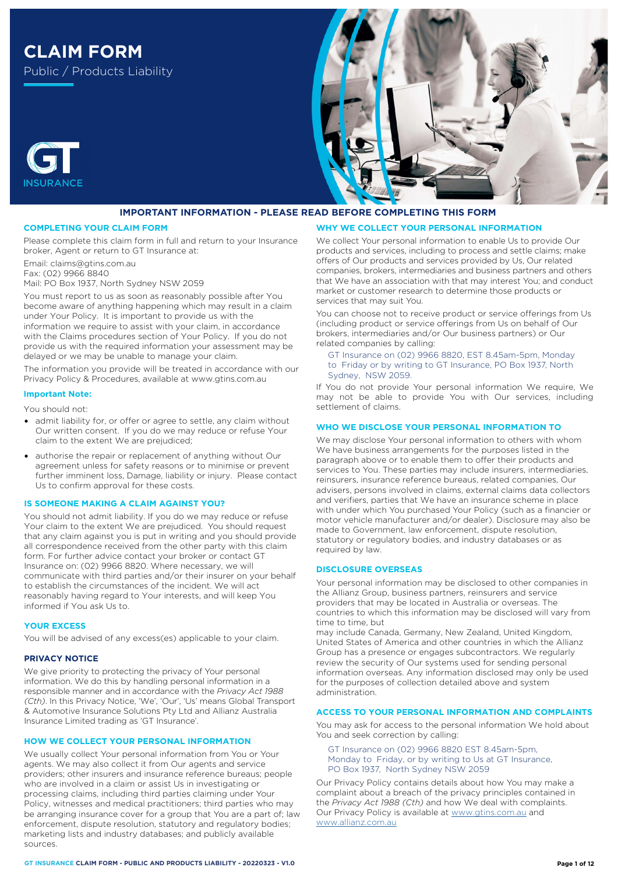# **CLAIM FORM** Public / Products Liability





#### **COMPLETING YOUR CLAIM FORM**

Please complete this claim form in full and return to your Insurance broker, Agent or return to GT Insurance at:

Email: claims@gtins.com.au

Fax: (02) 9966 8840

**INSURANCE** 

Mail: PO Box 1937, North Sydney NSW 2059

You must report to us as soon as reasonably possible after You become aware of anything happening which may result in a claim under Your Policy. It is important to provide us with the information we require to assist with your claim, in accordance with the Claims procedures section of Your Policy. If you do not provide us with the required information your assessment may be delayed or we may be unable to manage your claim.

The information you provide will be treated in accordance with our Privacy Policy & Procedures, available at [www.gtins.com.au](https://www.gtins.com.au/documents-and-policies/) 

# **Important Note:**

You should not:

- admit liability for, or offer or agree to settle, any claim without Our written consent. If you do we may reduce or refuse Your claim to the extent We are prejudiced;
- authorise the repair or replacement of anything without Our agreement unless for safety reasons or to minimise or prevent further imminent loss, Damage, liability or injury. Please contact Us to confirm approval for these costs.

# **IS SOMEONE MAKING A CLAIM AGAINST YOU?**

You should not admit liability. If you do we may reduce or refuse Your claim to the extent We are prejudiced. You should request that any claim against you is put in writing and you should provide all correspondence received from the other party with this claim form. For further advice contact your broker or contact GT Insurance on: (02) 9966 8820. Where necessary, we will communicate with third parties and/or their insurer on your behalf to establish the circumstances of the incident. We will act reasonably having regard to Your interests, and will keep You informed if You ask Us to.

#### **YOUR EXCESS**

You will be advised of any excess(es) applicable to your claim.

#### **PRIVACY NOTICE**

We give priority to protecting the privacy of Your personal information. We do this by handling personal information in a responsible manner and in accordance with the *Privacy Act 1988 (Cth)*. In this Privacy Notice, 'We', 'Our', 'Us' means Global Transport & Automotive Insurance Solutions Pty Ltd and Allianz Australia Insurance Limited trading as 'GT Insurance'.

## **HOW WE COLLECT YOUR PERSONAL INFORMATION**

We usually collect Your personal information from You or Your agents. We may also collect it from Our agents and service providers; other insurers and insurance reference bureaus; people who are involved in a claim or assist Us in investigating or processing claims, including third parties claiming under Your Policy, witnesses and medical practitioners; third parties who may be arranging insurance cover for a group that You are a part of; law enforcement, dispute resolution, statutory and regulatory bodies; marketing lists and industry databases; and publicly available sources.

# **WHY WE COLLECT YOUR PERSONAL INFORMATION**

We collect Your personal information to enable Us to provide Our products and services, including to process and settle claims; make offers of Our products and services provided by Us, Our related companies, brokers, intermediaries and business partners and others that We have an association with that may interest You; and conduct market or customer research to determine those products or services that may suit You.

You can choose not to receive product or service offerings from Us (including product or service offerings from Us on behalf of Our brokers, intermediaries and/or Our business partners) or Our related companies by calling:

#### GT Insurance on (02) 9966 8820, EST 8.45am-5pm, Monday to Friday or by writing to GT Insurance, PO Box 1937, North Sydney, NSW 2059.

If You do not provide Your personal information We require, We may not be able to provide You with Our services, including settlement of claims.

## **WHO WE DISCLOSE YOUR PERSONAL INFORMATION TO**

We may disclose Your personal information to others with whom We have business arrangements for the purposes listed in the paragraph above or to enable them to offer their products and services to You. These parties may include insurers, intermediaries, reinsurers, insurance reference bureaus, related companies, Our advisers, persons involved in claims, external claims data collectors and verifiers, parties that We have an insurance scheme in place with under which You purchased Your Policy (such as a financier or motor vehicle manufacturer and/or dealer). Disclosure may also be made to Government, law enforcement, dispute resolution, statutory or regulatory bodies, and industry databases or as required by law.

#### **DISCLOSURE OVERSEAS**

Your personal information may be disclosed to other companies in the Allianz Group, business partners, reinsurers and service providers that may be located in Australia or overseas. The countries to which this information may be disclosed will vary from time to time, but

may include Canada, Germany, New Zealand, United Kingdom, United States of America and other countries in which the Allianz Group has a presence or engages subcontractors. We regularly review the security of Our systems used for sending personal information overseas. Any information disclosed may only be used for the purposes of collection detailed above and system administration.

# **ACCESS TO YOUR PERSONAL INFORMATION AND COMPLAINTS**

You may ask for access to the personal information We hold about You and seek correction by calling:

GT Insurance on (02) 9966 8820 EST 8.45am-5pm, Monday to Friday, or by writing to Us at GT Insurance, PO Box 1937, North Sydney NSW 2059

Our Privacy Policy contains details about how You may make a complaint about a breach of the privacy principles contained in the *Privacy Act 1988 (Cth)* and how We deal with complaints. Our Privacy Policy is available at [www.gtins.com.au](https://www.gtins.com.au/documents-and-policies/) and [www.allianz.com.au](https://www.allianz.com.au/about-us/privacy/)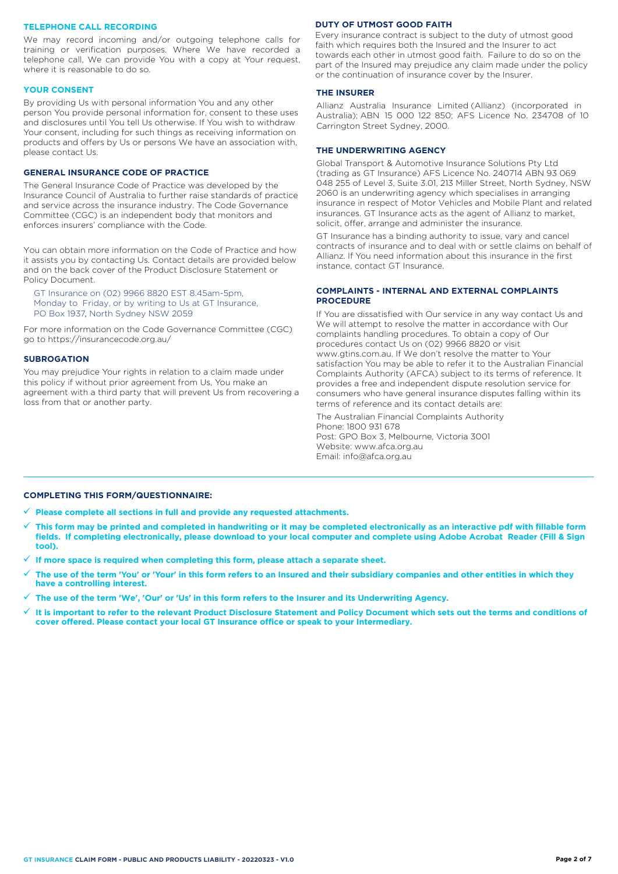#### **TELEPHONE CALL RECORDING**

We may record incoming and/or outgoing telephone calls for training or verification purposes. Where We have recorded a telephone call, We can provide You with a copy at Your request, where it is reasonable to do so.

#### **YOUR CONSENT**

By providing Us with personal information You and any other person You provide personal information for, consent to these uses and disclosures until You tell Us otherwise. If You wish to withdraw Your consent, including for such things as receiving information on products and offers by Us or persons We have an association with, please contact Us.

# **GENERAL INSURANCE CODE OF PRACTICE**

The General Insurance Code of Practice was developed by the Insurance Council of Australia to further raise standards of practice and service across the insurance industry. The Code Governance Committee (CGC) is an independent body that monitors and enforces insurers' compliance with the Code.

You can obtain more information on the Code of Practice and how it assists you by contacting Us. Contact details are provided below and on the back cover of the Product Disclosure Statement or Policy Document.

GT Insurance on (02) 9966 8820 EST 8.45am-5pm, Monday to Friday, or by writing to Us at GT Insurance, PO Box 1937, North Sydney NSW 2059

[For more information on the C](https://insurancecode.org.au/)ode Governance Committee (CGC) go to https://insurancecode.org.au/

## **SUBROGATION**

You may prejudice Your rights in relation to a claim made under this policy if without prior agreement from Us, You make an agreement with a third party that will prevent Us from recovering a loss from that or another party.

#### **DUTY OF UTMOST GOOD FAITH**

Every insurance contract is subject to the duty of utmost good faith which requires both the Insured and the Insurer to act towards each other in utmost good faith. Failure to do so on the part of the Insured may prejudice any claim made under the policy or the continuation of insurance cover by the Insurer.

#### **THE INSURER**

Allianz Australia Insurance Limited (Allianz) (incorporated in Australia); ABN 15 000 122 850; AFS Licence No. 234708 of 10 Carrington Street Sydney, 2000.

## **THE UNDERWRITING AGENCY**

Global Transport & Automotive Insurance Solutions Pty Ltd (trading as GT Insurance) AFS Licence No. 240714 ABN 93 069 048 255 of Level 3, Suite 3.01, 213 Miller Street, North Sydney, NSW 2060 is an underwriting agency which specialises in arranging insurance in respect of Motor Vehicles and Mobile Plant and related insurances. GT Insurance acts as the agent of Allianz to market, solicit, offer, arrange and administer the insurance.

GT Insurance has a binding authority to issue, vary and cancel contracts of insurance and to deal with or settle claims on behalf of Allianz. If You need information about this insurance in the first instance, contact GT Insurance.

## **COMPLAINTS - INTERNAL AND EXTERNAL COMPLAINTS PROCEDURE**

If You are dissatisfied with Our service in any way contact Us and We will attempt to resolve the matter in accordance with Our complaints handling procedures. To obtain a copy of Our procedures contact Us on (02) 9966 8820 or visit www.gtins.com.au. If We don't resolve the matter to Your satisfaction You may be able to refer it to the Australian Financial Complaints Authority (AFCA) subject to its terms of reference. It provides a free and independent dispute resolution service for consumers who have general insurance disputes falling within its terms of reference and its contact details are:

The Australian Financial Complaints Authority Phone: 1800 931 678 Post: GPO Box 3, Melbourne, Victoria 3001 Website: www.afca.org.au Email: info@afca.org.au

#### **COMPLETING THIS FORM/QUESTIONNAIRE:**

**Please complete all sections in full and provide any requested attachments.**

- **This form may be printed and completed in handwriting or it may be completed electronically as an interactive pdf with fillable form fields. If completing electronically, please download to your local computer and complete using Adobe Acrobat Reader (Fill & Sign tool).**
- **If more space is required when completing this form, please attach a separate sheet.**
- **The use of the term 'You' or 'Your' in this form refers to an Insured and their subsidiary companies and other entities in which they have a controlling interest.**
- **The use of the term 'We', 'Our' or 'Us' in this form refers to the Insurer and its Underwriting Agency.**
- **It is important to refer to the relevant Product Disclosure Statement and Policy Document which sets out the terms and conditions of cover offered. Please contact your local GT Insurance office or speak to your Intermediary.**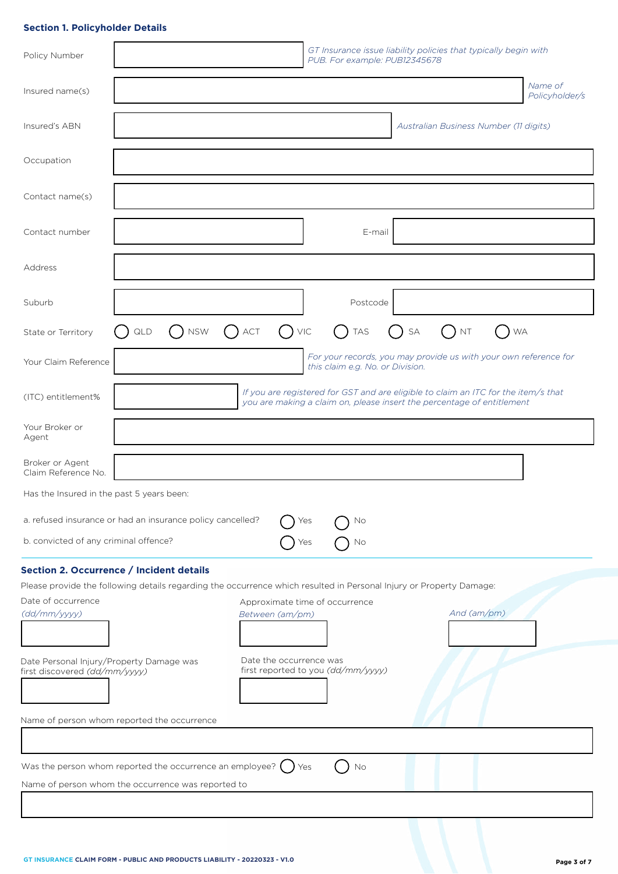# **Section 1. Policyholder Details**

| Policy Number                                                                                                                 |                                                                                                                     |                                | GT Insurance issue liability policies that typically begin with<br>PUB. For example: PUB12345678                                                             |    |             |                                                                  |
|-------------------------------------------------------------------------------------------------------------------------------|---------------------------------------------------------------------------------------------------------------------|--------------------------------|--------------------------------------------------------------------------------------------------------------------------------------------------------------|----|-------------|------------------------------------------------------------------|
| Insured name(s)                                                                                                               |                                                                                                                     |                                |                                                                                                                                                              |    |             | Name of<br>Policyholder/s                                        |
| Insured's ABN                                                                                                                 |                                                                                                                     |                                |                                                                                                                                                              |    |             | Australian Business Number (11 digits)                           |
| Occupation                                                                                                                    |                                                                                                                     |                                |                                                                                                                                                              |    |             |                                                                  |
| Contact name(s)                                                                                                               |                                                                                                                     |                                |                                                                                                                                                              |    |             |                                                                  |
| Contact number                                                                                                                |                                                                                                                     |                                | E-mail                                                                                                                                                       |    |             |                                                                  |
| Address                                                                                                                       |                                                                                                                     |                                |                                                                                                                                                              |    |             |                                                                  |
| Suburb                                                                                                                        |                                                                                                                     |                                | Postcode                                                                                                                                                     |    |             |                                                                  |
| State or Territory                                                                                                            | <b>NSW</b><br>QLD                                                                                                   | $\bigcap$ VIC<br>$\bigcap$ act | $\left(\begin{array}{c} \end{array}\right)$<br><b>TAS</b>                                                                                                    | SA | $($ ) nt    | $\Box$                                                           |
| Your Claim Reference                                                                                                          |                                                                                                                     |                                | this claim e.g. No. or Division.                                                                                                                             |    |             | For your records, you may provide us with your own reference for |
| (ITC) entitlement%                                                                                                            |                                                                                                                     |                                | If you are registered for GST and are eligible to claim an ITC for the item/s that<br>you are making a claim on, please insert the percentage of entitlement |    |             |                                                                  |
| Your Broker or<br>Agent                                                                                                       |                                                                                                                     |                                |                                                                                                                                                              |    |             |                                                                  |
| Broker or Agent<br>Claim Reference No.                                                                                        |                                                                                                                     |                                |                                                                                                                                                              |    |             |                                                                  |
| Has the Insured in the past 5 years been:                                                                                     |                                                                                                                     |                                |                                                                                                                                                              |    |             |                                                                  |
| a. refused insurance or had an insurance policy cancelled?<br>No<br>Yes<br>b. convicted of any criminal offence?<br>Yes<br>No |                                                                                                                     |                                |                                                                                                                                                              |    |             |                                                                  |
|                                                                                                                               | Section 2. Occurrence / Incident details                                                                            |                                |                                                                                                                                                              |    |             |                                                                  |
| Date of occurrence<br>(dd/mm/yyyy)                                                                                            | Please provide the following details regarding the occurrence which resulted in Personal Injury or Property Damage: | Between (am/pm)                | Approximate time of occurrence                                                                                                                               |    | And (am/pm) |                                                                  |
| Date Personal Injury/Property Damage was<br>first discovered (dd/mm/yyyy)                                                     |                                                                                                                     | Date the occurrence was        | first reported to you (dd/mm/yyyy)                                                                                                                           |    |             |                                                                  |
| Name of person whom reported the occurrence                                                                                   |                                                                                                                     |                                |                                                                                                                                                              |    |             |                                                                  |
|                                                                                                                               |                                                                                                                     |                                |                                                                                                                                                              |    |             |                                                                  |
| Was the person whom reported the occurrence an employee? $( )$ Yes<br>No                                                      |                                                                                                                     |                                |                                                                                                                                                              |    |             |                                                                  |
|                                                                                                                               | Name of person whom the occurrence was reported to                                                                  |                                |                                                                                                                                                              |    |             |                                                                  |
|                                                                                                                               |                                                                                                                     |                                |                                                                                                                                                              |    |             |                                                                  |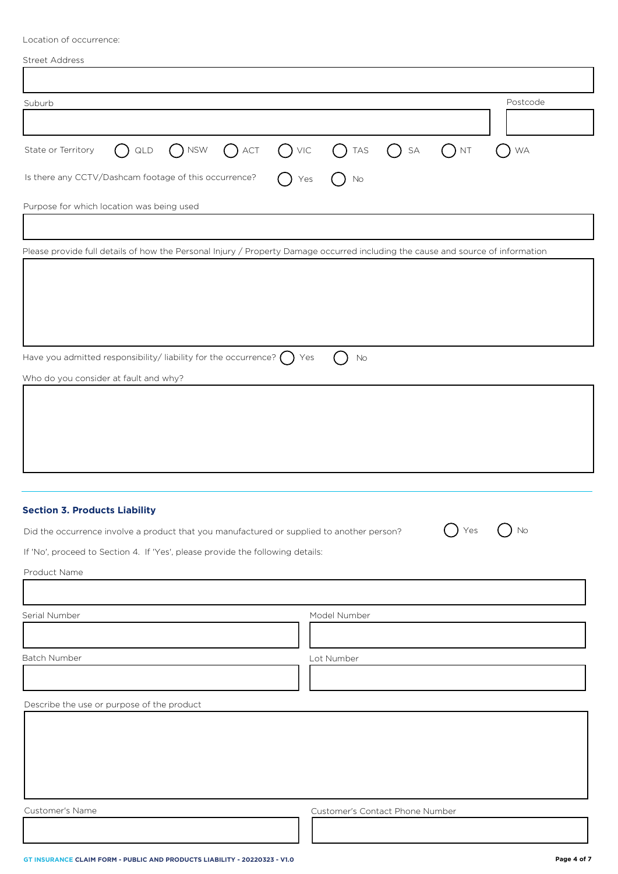Location of occurrence:

| <b>Street Address</b> |
|-----------------------|
|                       |

| Suburb                                                                                                                          | Postcode                                                                                                           |  |  |
|---------------------------------------------------------------------------------------------------------------------------------|--------------------------------------------------------------------------------------------------------------------|--|--|
|                                                                                                                                 |                                                                                                                    |  |  |
| $\bigcap$ NSW<br>$\bigcap$ ACT<br>State or Territory<br>$()$ QLD<br>$()$ VIC                                                    | $\bigcap$ TAS<br>$\left(\begin{array}{c} \end{array}\right)$<br>$\mathsf{SA}\xspace$<br>$\mathsf{NT}$<br><b>WA</b> |  |  |
| Is there any CCTV/Dashcam footage of this occurrence?                                                                           | Yes<br>No                                                                                                          |  |  |
| Purpose for which location was being used                                                                                       |                                                                                                                    |  |  |
|                                                                                                                                 |                                                                                                                    |  |  |
| Please provide full details of how the Personal Injury / Property Damage occurred including the cause and source of information |                                                                                                                    |  |  |
|                                                                                                                                 |                                                                                                                    |  |  |
|                                                                                                                                 |                                                                                                                    |  |  |
|                                                                                                                                 |                                                                                                                    |  |  |
|                                                                                                                                 |                                                                                                                    |  |  |
| Have you admitted responsibility/liability for the occurrence? $\bigcap$                                                        | Yes<br>No                                                                                                          |  |  |
| Who do you consider at fault and why?                                                                                           |                                                                                                                    |  |  |
|                                                                                                                                 |                                                                                                                    |  |  |
|                                                                                                                                 |                                                                                                                    |  |  |
|                                                                                                                                 |                                                                                                                    |  |  |
|                                                                                                                                 |                                                                                                                    |  |  |
|                                                                                                                                 |                                                                                                                    |  |  |
|                                                                                                                                 |                                                                                                                    |  |  |
| <b>Section 3. Products Liability</b>                                                                                            |                                                                                                                    |  |  |
| Did the occurrence involve a product that you manufactured or supplied to another person?                                       | $\sum_{s}$<br>No                                                                                                   |  |  |
| If 'No', proceed to Section 4. If 'Yes', please provide the following details:                                                  |                                                                                                                    |  |  |
| Product Name                                                                                                                    |                                                                                                                    |  |  |
|                                                                                                                                 |                                                                                                                    |  |  |
| Serial Number                                                                                                                   | Model Number                                                                                                       |  |  |
|                                                                                                                                 |                                                                                                                    |  |  |
| Batch Number                                                                                                                    | Lot Number                                                                                                         |  |  |
|                                                                                                                                 |                                                                                                                    |  |  |
| Describe the use or purpose of the product                                                                                      |                                                                                                                    |  |  |
|                                                                                                                                 |                                                                                                                    |  |  |
|                                                                                                                                 |                                                                                                                    |  |  |
|                                                                                                                                 |                                                                                                                    |  |  |
|                                                                                                                                 |                                                                                                                    |  |  |
| Customer's Name                                                                                                                 | Customer's Contact Phone Number                                                                                    |  |  |
|                                                                                                                                 |                                                                                                                    |  |  |

ı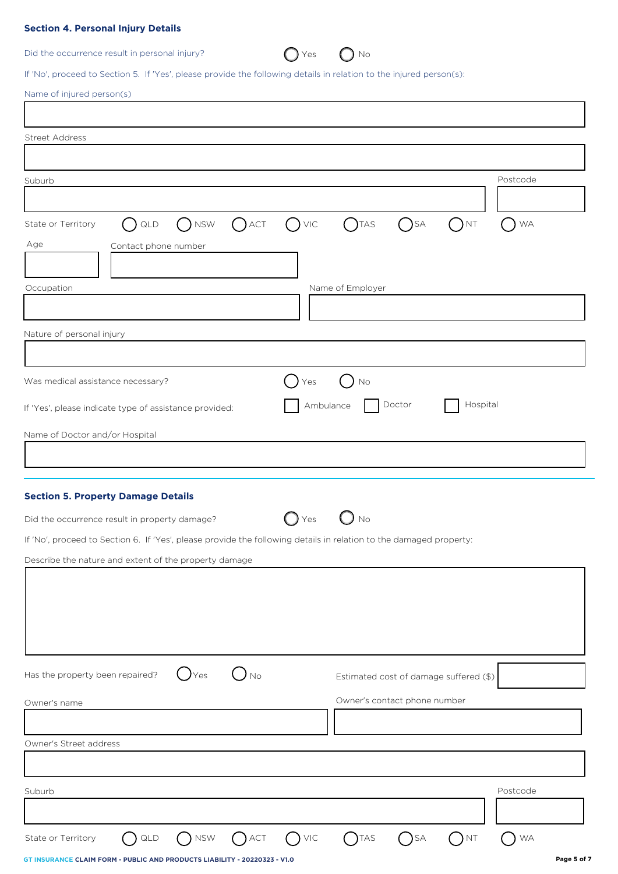# **Section 4. Personal Injury Details**

Did the occurrence result in personal injury?  $\bigcirc$  Yes  $\bigcirc$  No

| Yes | N <sub>0</sub> |
|-----|----------------|
|     |                |

If 'No', proceed to Section 5. If 'Yes', please provide the following details in relation to the injured person(s):

| <b>Street Address</b><br>$\bigcap$ NSW<br>$\bigcap$ TAS<br>QLD<br>$\bigcap$ ACT<br>VIC<br>$\sum$ SA<br>$\left( \begin{array}{c} \end{array} \right)$ NT<br>Contact phone number<br>Name of Employer<br>No<br>Yes<br>Doctor<br>Hospital<br>Ambulance<br>No<br>Yes<br>$\int$ Yes<br>) No<br>Estimated cost of damage suffered (\$)<br>Owner's contact phone number                     |                                                       |           |
|--------------------------------------------------------------------------------------------------------------------------------------------------------------------------------------------------------------------------------------------------------------------------------------------------------------------------------------------------------------------------------------|-------------------------------------------------------|-----------|
|                                                                                                                                                                                                                                                                                                                                                                                      |                                                       |           |
|                                                                                                                                                                                                                                                                                                                                                                                      |                                                       |           |
|                                                                                                                                                                                                                                                                                                                                                                                      | Suburb                                                | Postcode  |
| State or Territory<br>Age                                                                                                                                                                                                                                                                                                                                                            |                                                       |           |
|                                                                                                                                                                                                                                                                                                                                                                                      |                                                       | <b>WA</b> |
|                                                                                                                                                                                                                                                                                                                                                                                      |                                                       |           |
| Occupation<br>Nature of personal injury                                                                                                                                                                                                                                                                                                                                              |                                                       |           |
|                                                                                                                                                                                                                                                                                                                                                                                      |                                                       |           |
|                                                                                                                                                                                                                                                                                                                                                                                      |                                                       |           |
|                                                                                                                                                                                                                                                                                                                                                                                      |                                                       |           |
| Was medical assistance necessary?<br>If 'Yes', please indicate type of assistance provided:<br>Name of Doctor and/or Hospital<br><b>Section 5. Property Damage Details</b><br>Did the occurrence result in property damage?<br>If 'No', proceed to Section 6. If 'Yes', please provide the following details in relation to the damaged property:<br>Has the property been repaired? |                                                       |           |
|                                                                                                                                                                                                                                                                                                                                                                                      |                                                       |           |
|                                                                                                                                                                                                                                                                                                                                                                                      |                                                       |           |
|                                                                                                                                                                                                                                                                                                                                                                                      |                                                       |           |
|                                                                                                                                                                                                                                                                                                                                                                                      |                                                       |           |
|                                                                                                                                                                                                                                                                                                                                                                                      |                                                       |           |
|                                                                                                                                                                                                                                                                                                                                                                                      | Describe the nature and extent of the property damage |           |
| Owner's name<br>Owner's Street address<br>Suburb                                                                                                                                                                                                                                                                                                                                     |                                                       |           |
|                                                                                                                                                                                                                                                                                                                                                                                      |                                                       |           |
|                                                                                                                                                                                                                                                                                                                                                                                      |                                                       |           |
|                                                                                                                                                                                                                                                                                                                                                                                      |                                                       |           |
|                                                                                                                                                                                                                                                                                                                                                                                      |                                                       |           |
|                                                                                                                                                                                                                                                                                                                                                                                      |                                                       | Postcode  |
|                                                                                                                                                                                                                                                                                                                                                                                      |                                                       |           |
| $\bigcap$ SA<br>$()$ <sub>NT</sub><br>State or Territory<br>QLD<br><b>NSW</b><br>$\bigcap$ ACT<br>$()$ VIC<br>$( )$ TAS                                                                                                                                                                                                                                                              |                                                       | WA        |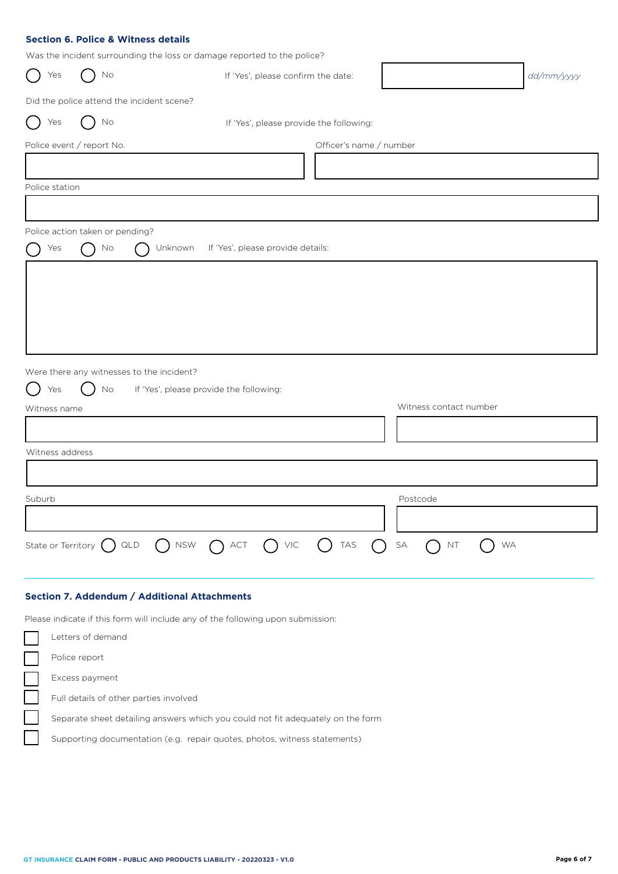# **Section 6. Police & Witness details**

Was the incident surrounding the loss or damage reported to the police?

| Yes             | $\rightarrow$<br>No                                 | was the including san banding the 1833 or damage reported to the police.<br>If 'Yes', please confirm the date: |                         |                              | dd/mm/yyyy |
|-----------------|-----------------------------------------------------|----------------------------------------------------------------------------------------------------------------|-------------------------|------------------------------|------------|
|                 |                                                     | Did the police attend the incident scene?                                                                      |                         |                              |            |
| Yes             | No                                                  | If 'Yes', please provide the following:                                                                        |                         |                              |            |
|                 | Police event / report No.                           |                                                                                                                | Officer's name / number |                              |            |
|                 |                                                     |                                                                                                                |                         |                              |            |
| Police station  |                                                     |                                                                                                                |                         |                              |            |
|                 |                                                     |                                                                                                                |                         |                              |            |
|                 | Police action taken or pending?                     |                                                                                                                |                         |                              |            |
| Yes             | No<br>$\left( \begin{array}{c} \end{array} \right)$ | Unknown<br>If 'Yes', please provide details:<br>$(\quad)$                                                      |                         |                              |            |
|                 |                                                     |                                                                                                                |                         |                              |            |
|                 |                                                     |                                                                                                                |                         |                              |            |
|                 |                                                     |                                                                                                                |                         |                              |            |
|                 |                                                     |                                                                                                                |                         |                              |            |
|                 |                                                     |                                                                                                                |                         |                              |            |
|                 |                                                     | Were there any witnesses to the incident?                                                                      |                         |                              |            |
| Yes             | No                                                  | If 'Yes', please provide the following:                                                                        |                         | Witness contact number       |            |
| Witness name    |                                                     |                                                                                                                |                         |                              |            |
|                 |                                                     |                                                                                                                |                         |                              |            |
| Witness address |                                                     |                                                                                                                |                         |                              |            |
|                 |                                                     |                                                                                                                |                         |                              |            |
| Suburb          |                                                     |                                                                                                                |                         | Postcode                     |            |
|                 |                                                     |                                                                                                                |                         |                              |            |
|                 | State or Territory $\bigcirc$ QLD                   | NSW<br>$\bigcap$ VIC<br>$\bigcap$ ACT                                                                          | TAS<br>$($ )<br>$(\ )$  | SA<br><b>WA</b><br><b>NT</b> |            |
|                 |                                                     |                                                                                                                |                         |                              |            |

# **Section 7. Addendum / Additional Attachments**

Please indicate if this form will include any of the following upon submission:

| Letters of demand                                                               |
|---------------------------------------------------------------------------------|
| Police report                                                                   |
| Excess payment                                                                  |
| Full details of other parties involved                                          |
| Separate sheet detailing answers which you could not fit adequately on the form |
| Supporting documentation (e.g. repair quotes, photos, witness statements)       |